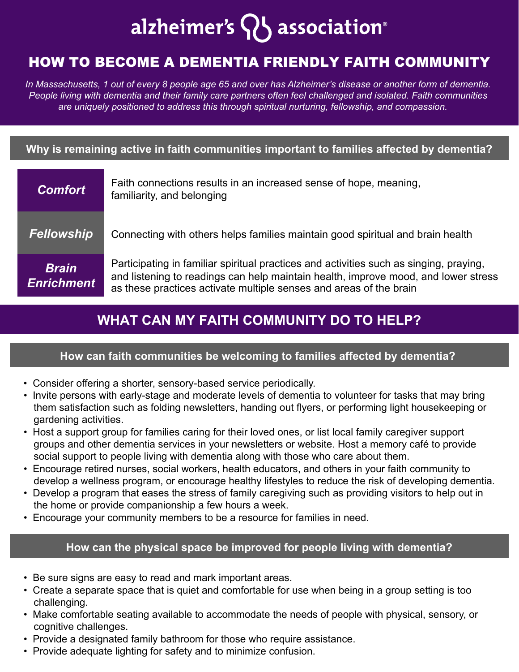# alzheimer's  $\{ \}$  association®

# HOW TO BECOME A DEMENTIA FRIENDLY FAITH COMMUNITY

*In Massachusetts, 1 out of every 8 people age 65 and over has Alzheimer's disease or another form of dementia. People living with dementia and their family care partners often feel challenged and isolated. Faith communities are uniquely positioned to address this through spiritual nurturing, fellowship, and compassion.* 

#### **Why is remaining active in faith communities important to families affected by dementia?**

| <b>Comfort</b>                    | Faith connections results in an increased sense of hope, meaning,<br>familiarity, and belonging                                                                                                                                                    |
|-----------------------------------|----------------------------------------------------------------------------------------------------------------------------------------------------------------------------------------------------------------------------------------------------|
| <b>Fellowship</b>                 | Connecting with others helps families maintain good spiritual and brain health                                                                                                                                                                     |
| <b>Brain</b><br><b>Enrichment</b> | Participating in familiar spiritual practices and activities such as singing, praying,<br>and listening to readings can help maintain health, improve mood, and lower stress<br>as these practices activate multiple senses and areas of the brain |

# **WHAT CAN MY FAITH COMMUNITY DO TO HELP?**

#### **How can faith communities be welcoming to families affected by dementia?**

- Consider offering a shorter, sensory-based service periodically.
- Invite persons with early-stage and moderate levels of dementia to volunteer for tasks that may bring them satisfaction such as folding newsletters, handing out flyers, or performing light housekeeping or gardening activities.
- Host a support group for families caring for their loved ones, or list local family caregiver support groups and other dementia services in your newsletters or website. Host a memory café to provide social support to people living with dementia along with those who care about them.
- Encourage retired nurses, social workers, health educators, and others in your faith community to develop a wellness program, or encourage healthy lifestyles to reduce the risk of developing dementia.
- Develop a program that eases the stress of family caregiving such as providing visitors to help out in the home or provide companionship a few hours a week.
- Encourage your community members to be a resource for families in need.

#### **How can the physical space be improved for people living with dementia?**

- Be sure signs are easy to read and mark important areas.
- Create a separate space that is quiet and comfortable for use when being in a group setting is too challenging.
- Make comfortable seating available to accommodate the needs of people with physical, sensory, or cognitive challenges.
- Provide a designated family bathroom for those who require assistance.
- Provide adequate lighting for safety and to minimize confusion.